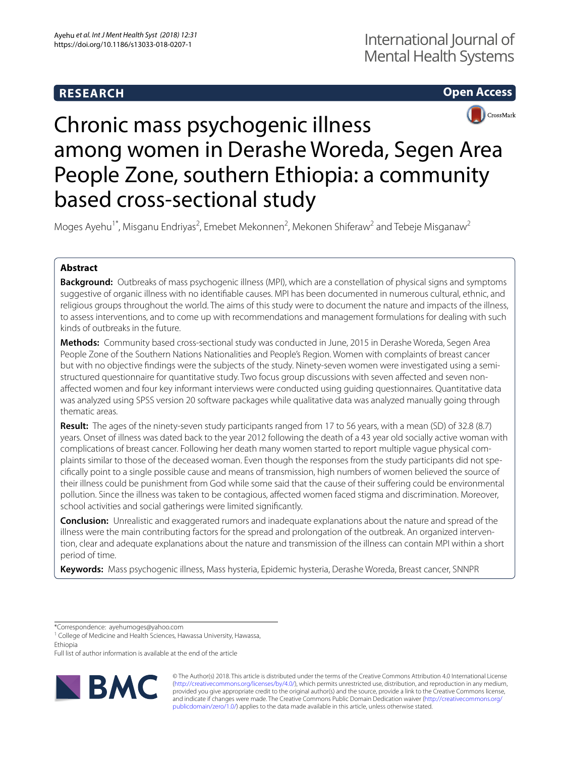# **RESEARCH**



**Open Access**

# Chronic mass psychogenic illness among women in Derashe Woreda, Segen Area People Zone, southern Ethiopia: a community based cross-sectional study

Moges Ayehu<sup>1\*</sup>, Misganu Endriyas<sup>2</sup>, Emebet Mekonnen<sup>2</sup>, Mekonen Shiferaw<sup>2</sup> and Tebeje Misganaw<sup>2</sup>

## **Abstract**

**Background:** Outbreaks of mass psychogenic illness (MPI), which are a constellation of physical signs and symptoms suggestive of organic illness with no identifable causes. MPI has been documented in numerous cultural, ethnic, and religious groups throughout the world. The aims of this study were to document the nature and impacts of the illness, to assess interventions, and to come up with recommendations and management formulations for dealing with such kinds of outbreaks in the future.

**Methods:** Community based cross-sectional study was conducted in June, 2015 in Derashe Woreda, Segen Area People Zone of the Southern Nations Nationalities and People's Region. Women with complaints of breast cancer but with no objective fndings were the subjects of the study. Ninety-seven women were investigated using a semistructured questionnaire for quantitative study. Two focus group discussions with seven afected and seven nonafected women and four key informant interviews were conducted using guiding questionnaires. Quantitative data was analyzed using SPSS version 20 software packages while qualitative data was analyzed manually going through thematic areas.

**Result:** The ages of the ninety-seven study participants ranged from 17 to 56 years, with a mean (SD) of 32.8 (8.7) years. Onset of illness was dated back to the year 2012 following the death of a 43 year old socially active woman with complications of breast cancer. Following her death many women started to report multiple vague physical complaints similar to those of the deceased woman. Even though the responses from the study participants did not specifcally point to a single possible cause and means of transmission, high numbers of women believed the source of their illness could be punishment from God while some said that the cause of their sufering could be environmental pollution. Since the illness was taken to be contagious, afected women faced stigma and discrimination. Moreover, school activities and social gatherings were limited signifcantly.

**Conclusion:** Unrealistic and exaggerated rumors and inadequate explanations about the nature and spread of the illness were the main contributing factors for the spread and prolongation of the outbreak. An organized intervention, clear and adequate explanations about the nature and transmission of the illness can contain MPI within a short period of time.

**Keywords:** Mass psychogenic illness, Mass hysteria, Epidemic hysteria, Derashe Woreda, Breast cancer, SNNPR

\*Correspondence: ayehumoges@yahoo.com

Full list of author information is available at the end of the article



© The Author(s) 2018. This article is distributed under the terms of the Creative Commons Attribution 4.0 International License [\(http://creativecommons.org/licenses/by/4.0/\)](http://creativecommons.org/licenses/by/4.0/), which permits unrestricted use, distribution, and reproduction in any medium, provided you give appropriate credit to the original author(s) and the source, provide a link to the Creative Commons license, and indicate if changes were made. The Creative Commons Public Domain Dedication waiver ([http://creativecommons.org/](http://creativecommons.org/publicdomain/zero/1.0/) [publicdomain/zero/1.0/](http://creativecommons.org/publicdomain/zero/1.0/)) applies to the data made available in this article, unless otherwise stated.

<sup>&</sup>lt;sup>1</sup> College of Medicine and Health Sciences, Hawassa University, Hawassa, Ethiopia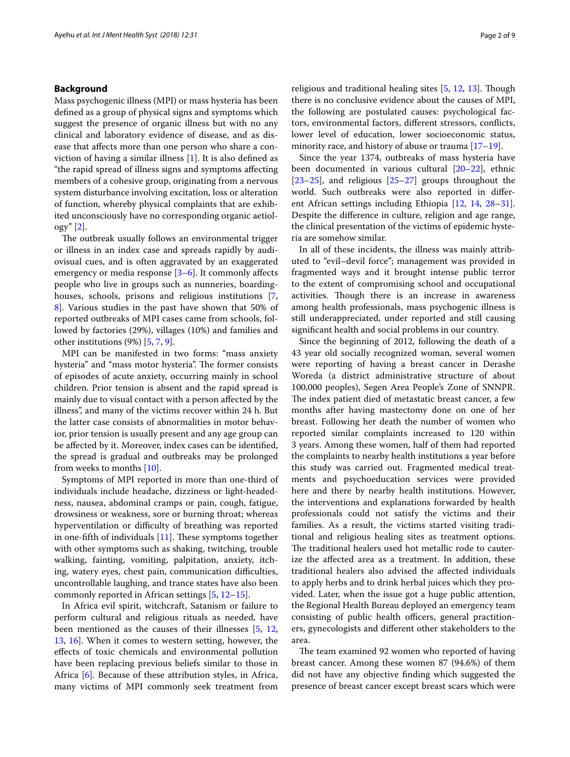## **Background**

Mass psychogenic illness (MPI) or mass hysteria has been defned as a group of physical signs and symptoms which suggest the presence of organic illness but with no any clinical and laboratory evidence of disease, and as disease that afects more than one person who share a conviction of having a similar illness [\[1](#page-7-0)]. It is also defned as "the rapid spread of illness signs and symptoms afecting members of a cohesive group, originating from a nervous system disturbance involving excitation, loss or alteration of function, whereby physical complaints that are exhibited unconsciously have no corresponding organic aetiology" [[2\]](#page-7-1).

The outbreak usually follows an environmental trigger or illness in an index case and spreads rapidly by audiovisual cues, and is often aggravated by an exaggerated emergency or media response [\[3](#page-7-2)[–6](#page-7-3)]. It commonly afects people who live in groups such as nunneries, boardinghouses, schools, prisons and religious institutions [\[7](#page-7-4), [8\]](#page-7-5). Various studies in the past have shown that 50% of reported outbreaks of MPI cases came from schools, followed by factories (29%), villages (10%) and families and other institutions (9%) [\[5](#page-7-6), [7,](#page-7-4) [9](#page-7-7)].

MPI can be manifested in two forms: "mass anxiety hysteria" and "mass motor hysteria". The former consists of episodes of acute anxiety, occurring mainly in school children. Prior tension is absent and the rapid spread is mainly due to visual contact with a person afected by the illness", and many of the victims recover within 24 h. But the latter case consists of abnormalities in motor behavior, prior tension is usually present and any age group can be afected by it. Moreover, index cases can be identifed, the spread is gradual and outbreaks may be prolonged from weeks to months [\[10](#page-7-8)].

Symptoms of MPI reported in more than one-third of individuals include headache, dizziness or light-headedness, nausea, abdominal cramps or pain, cough, fatigue, drowsiness or weakness, sore or burning throat; whereas hyperventilation or difficulty of breathing was reported in one-fifth of individuals  $[11]$ . These symptoms together with other symptoms such as shaking, twitching, trouble walking, fainting, vomiting, palpitation, anxiety, itching, watery eyes, chest pain, communication difficulties, uncontrollable laughing, and trance states have also been commonly reported in African settings [\[5](#page-7-6), [12](#page-7-10)[–15](#page-7-11)].

In Africa evil spirit, witchcraft, Satanism or failure to perform cultural and religious rituals as needed, have been mentioned as the causes of their illnesses [\[5](#page-7-6), [12](#page-7-10), [13,](#page-7-12) [16\]](#page-7-13). When it comes to western setting, however, the efects of toxic chemicals and environmental pollution have been replacing previous beliefs similar to those in Africa [[6\]](#page-7-3). Because of these attribution styles, in Africa, many victims of MPI commonly seek treatment from religious and traditional healing sites [[5,](#page-7-6) [12,](#page-7-10) [13\]](#page-7-12). Though there is no conclusive evidence about the causes of MPI, the following are postulated causes: psychological factors, environmental factors, diferent stressors, conficts, lower level of education, lower socioeconomic status, minority race, and history of abuse or trauma [[17–](#page-7-14)[19](#page-8-0)].

Since the year 1374, outbreaks of mass hysteria have been documented in various cultural [\[20](#page-8-1)[–22](#page-8-2)], ethnic  $[23–25]$  $[23–25]$  $[23–25]$ , and religious  $[25–27]$  $[25–27]$  $[25–27]$  groups throughout the world. Such outbreaks were also reported in diferent African settings including Ethiopia [[12](#page-7-10), [14](#page-7-15), [28](#page-8-6)[–31](#page-8-7)]. Despite the diference in culture, religion and age range, the clinical presentation of the victims of epidemic hysteria are somehow similar.

In all of these incidents, the illness was mainly attributed to "evil–devil force"; management was provided in fragmented ways and it brought intense public terror to the extent of compromising school and occupational activities. Though there is an increase in awareness among health professionals, mass psychogenic illness is still underappreciated, under reported and still causing signifcant health and social problems in our country.

Since the beginning of 2012, following the death of a 43 year old socially recognized woman, several women were reporting of having a breast cancer in Derashe Woreda (a district administrative structure of about 100,000 peoples), Segen Area People's Zone of SNNPR. The index patient died of metastatic breast cancer, a few months after having mastectomy done on one of her breast. Following her death the number of women who reported similar complaints increased to 120 within 3 years. Among these women, half of them had reported the complaints to nearby health institutions a year before this study was carried out. Fragmented medical treatments and psychoeducation services were provided here and there by nearby health institutions. However, the interventions and explanations forwarded by health professionals could not satisfy the victims and their families. As a result, the victims started visiting traditional and religious healing sites as treatment options. The traditional healers used hot metallic rode to cauterize the afected area as a treatment. In addition, these traditional healers also advised the afected individuals to apply herbs and to drink herbal juices which they provided. Later, when the issue got a huge public attention, the Regional Health Bureau deployed an emergency team consisting of public health officers, general practitioners, gynecologists and diferent other stakeholders to the area.

The team examined 92 women who reported of having breast cancer. Among these women 87 (94.6%) of them did not have any objective fnding which suggested the presence of breast cancer except breast scars which were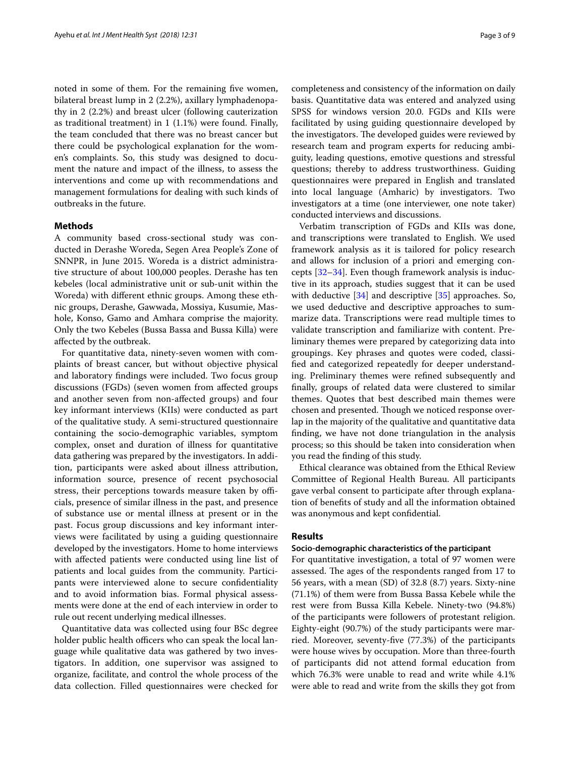noted in some of them. For the remaining fve women, bilateral breast lump in 2 (2.2%), axillary lymphadenopathy in 2 (2.2%) and breast ulcer (following cauterization as traditional treatment) in 1 (1.1%) were found. Finally, the team concluded that there was no breast cancer but there could be psychological explanation for the women's complaints. So, this study was designed to document the nature and impact of the illness, to assess the interventions and come up with recommendations and management formulations for dealing with such kinds of outbreaks in the future.

## **Methods**

A community based cross-sectional study was conducted in Derashe Woreda, Segen Area People's Zone of SNNPR, in June 2015. Woreda is a district administrative structure of about 100,000 peoples. Derashe has ten kebeles (local administrative unit or sub-unit within the Woreda) with diferent ethnic groups. Among these ethnic groups, Derashe, Gawwada, Mossiya, Kusumie, Mashole, Konso, Gamo and Amhara comprise the majority. Only the two Kebeles (Bussa Bassa and Bussa Killa) were afected by the outbreak.

For quantitative data, ninety-seven women with complaints of breast cancer, but without objective physical and laboratory fndings were included. Two focus group discussions (FGDs) (seven women from afected groups and another seven from non-afected groups) and four key informant interviews (KIIs) were conducted as part of the qualitative study. A semi-structured questionnaire containing the socio-demographic variables, symptom complex, onset and duration of illness for quantitative data gathering was prepared by the investigators. In addition, participants were asked about illness attribution, information source, presence of recent psychosocial stress, their perceptions towards measure taken by officials, presence of similar illness in the past, and presence of substance use or mental illness at present or in the past. Focus group discussions and key informant interviews were facilitated by using a guiding questionnaire developed by the investigators. Home to home interviews with afected patients were conducted using line list of patients and local guides from the community. Participants were interviewed alone to secure confdentiality and to avoid information bias. Formal physical assessments were done at the end of each interview in order to rule out recent underlying medical illnesses.

Quantitative data was collected using four BSc degree holder public health officers who can speak the local language while qualitative data was gathered by two investigators. In addition, one supervisor was assigned to organize, facilitate, and control the whole process of the data collection. Filled questionnaires were checked for completeness and consistency of the information on daily basis. Quantitative data was entered and analyzed using SPSS for windows version 20.0. FGDs and KIIs were facilitated by using guiding questionnaire developed by the investigators. The developed guides were reviewed by research team and program experts for reducing ambiguity, leading questions, emotive questions and stressful questions; thereby to address trustworthiness. Guiding questionnaires were prepared in English and translated into local language (Amharic) by investigators. Two investigators at a time (one interviewer, one note taker) conducted interviews and discussions.

Verbatim transcription of FGDs and KIIs was done, and transcriptions were translated to English. We used framework analysis as it is tailored for policy research and allows for inclusion of a priori and emerging concepts [\[32–](#page-8-8)[34\]](#page-8-9). Even though framework analysis is inductive in its approach, studies suggest that it can be used with deductive [\[34](#page-8-9)] and descriptive [[35\]](#page-8-10) approaches. So, we used deductive and descriptive approaches to summarize data. Transcriptions were read multiple times to validate transcription and familiarize with content. Preliminary themes were prepared by categorizing data into groupings. Key phrases and quotes were coded, classifed and categorized repeatedly for deeper understanding. Preliminary themes were refned subsequently and fnally, groups of related data were clustered to similar themes. Quotes that best described main themes were chosen and presented. Though we noticed response overlap in the majority of the qualitative and quantitative data fnding, we have not done triangulation in the analysis process; so this should be taken into consideration when you read the fnding of this study.

Ethical clearance was obtained from the Ethical Review Committee of Regional Health Bureau. All participants gave verbal consent to participate after through explanation of benefts of study and all the information obtained was anonymous and kept confdential.

## **Results**

#### **Socio‑demographic characteristics of the participant**

For quantitative investigation, a total of 97 women were assessed. The ages of the respondents ranged from 17 to 56 years, with a mean (SD) of 32.8 (8.7) years. Sixty-nine (71.1%) of them were from Bussa Bassa Kebele while the rest were from Bussa Killa Kebele. Ninety-two (94.8%) of the participants were followers of protestant religion. Eighty-eight (90.7%) of the study participants were married. Moreover, seventy-fve (77.3%) of the participants were house wives by occupation. More than three-fourth of participants did not attend formal education from which 76.3% were unable to read and write while 4.1% were able to read and write from the skills they got from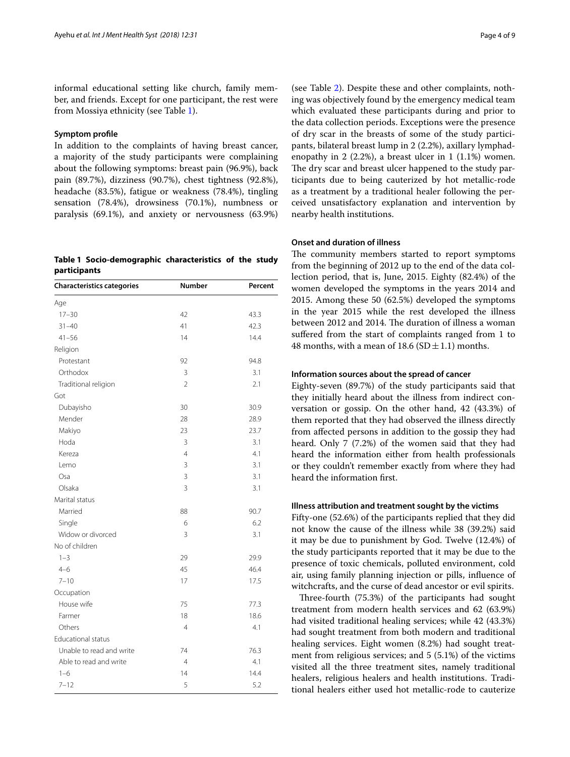informal educational setting like church, family member, and friends. Except for one participant, the rest were from Mossiya ethnicity (see Table [1](#page-3-0)).

## **Symptom profle**

In addition to the complaints of having breast cancer, a majority of the study participants were complaining about the following symptoms: breast pain (96.9%), back pain (89.7%), dizziness (90.7%), chest tightness (92.8%), headache (83.5%), fatigue or weakness (78.4%), tingling sensation (78.4%), drowsiness (70.1%), numbness or paralysis (69.1%), and anxiety or nervousness (63.9%)

<span id="page-3-0"></span>**Table 1 Socio-demographic characteristics of the study participants**

| <b>Characteristics categories</b> | Number         | Percent |
|-----------------------------------|----------------|---------|
| Age                               |                |         |
| $17 - 30$                         | 42             | 43.3    |
| $31 - 40$                         | 41             | 42.3    |
| $41 - 56$                         | 14             | 14.4    |
| Religion                          |                |         |
| Protestant                        | 92             | 94.8    |
| Orthodox                          | 3              | 3.1     |
| Traditional religion              | $\overline{2}$ | 2.1     |
| Got                               |                |         |
| Dubayisho                         | 30             | 30.9    |
| Mender                            | 28             | 28.9    |
| Makiyo                            | 23             | 23.7    |
| Hoda                              | 3              | 3.1     |
| Kereza                            | $\overline{4}$ | 4.1     |
| Lemo                              | 3              | 3.1     |
| Osa                               | 3              | 3.1     |
| Olsaka                            | 3              | 3.1     |
| Marital status                    |                |         |
| Married                           | 88             | 90.7    |
| Single                            | 6              | 6.2     |
| Widow or divorced                 | 3              | 3.1     |
| No of children                    |                |         |
| $1 - 3$                           | 29             | 29.9    |
| $4 - 6$                           | 45             | 46.4    |
| $7 - 10$                          | 17             | 17.5    |
| Occupation                        |                |         |
| House wife                        | 75             | 77.3    |
| Farmer                            | 18             | 18.6    |
| Others                            | 4              | 4.1     |
| <b>Educational status</b>         |                |         |
| Unable to read and write          | 74             | 76.3    |
| Able to read and write            | $\overline{4}$ | 4.1     |
| $1 - 6$                           | 14             | 14.4    |
| $7 - 12$                          | 5              | 5.2     |

(see Table [2](#page-4-0)). Despite these and other complaints, nothing was objectively found by the emergency medical team which evaluated these participants during and prior to the data collection periods. Exceptions were the presence of dry scar in the breasts of some of the study participants, bilateral breast lump in 2 (2.2%), axillary lymphadenopathy in 2 (2.2%), a breast ulcer in 1 (1.1%) women. The dry scar and breast ulcer happened to the study participants due to being cauterized by hot metallic-rode as a treatment by a traditional healer following the perceived unsatisfactory explanation and intervention by nearby health institutions.

#### **Onset and duration of illness**

The community members started to report symptoms from the beginning of 2012 up to the end of the data collection period, that is, June, 2015. Eighty (82.4%) of the women developed the symptoms in the years 2014 and 2015. Among these 50 (62.5%) developed the symptoms in the year 2015 while the rest developed the illness between 2012 and 2014. The duration of illness a woman sufered from the start of complaints ranged from 1 to 48 months, with a mean of 18.6 (SD  $\pm$  1.1) months.

## **Information sources about the spread of cancer**

Eighty-seven (89.7%) of the study participants said that they initially heard about the illness from indirect conversation or gossip. On the other hand, 42 (43.3%) of them reported that they had observed the illness directly from afected persons in addition to the gossip they had heard. Only 7 (7.2%) of the women said that they had heard the information either from health professionals or they couldn't remember exactly from where they had heard the information frst.

## **Illness attribution and treatment sought by the victims**

Fifty-one (52.6%) of the participants replied that they did not know the cause of the illness while 38 (39.2%) said it may be due to punishment by God. Twelve (12.4%) of the study participants reported that it may be due to the presence of toxic chemicals, polluted environment, cold air, using family planning injection or pills, infuence of witchcrafts, and the curse of dead ancestor or evil spirits.

Three-fourth (75.3%) of the participants had sought treatment from modern health services and 62 (63.9%) had visited traditional healing services; while 42 (43.3%) had sought treatment from both modern and traditional healing services. Eight women (8.2%) had sought treatment from religious services; and 5 (5.1%) of the victims visited all the three treatment sites, namely traditional healers, religious healers and health institutions. Traditional healers either used hot metallic-rode to cauterize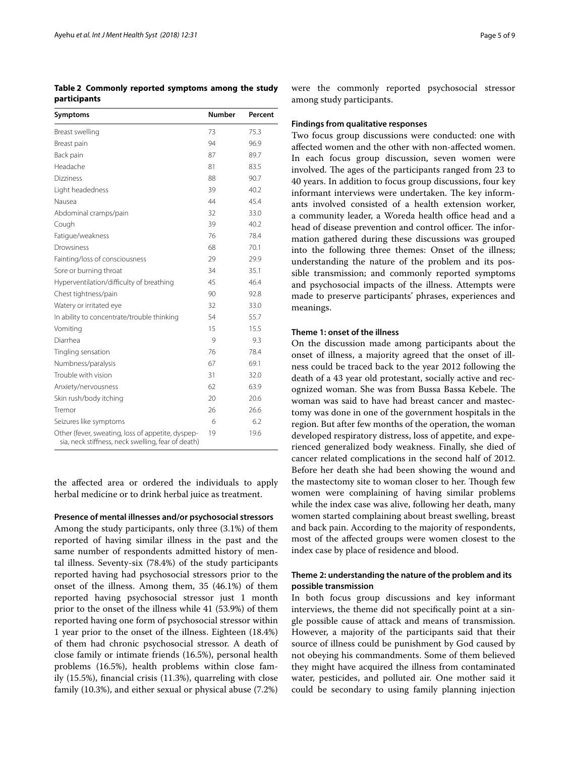the afected area or ordered the individuals to apply herbal medicine or to drink herbal juice as treatment.

**Presence of mental illnesses and/or psychosocial stressors**

Among the study participants, only three (3.1%) of them reported of having similar illness in the past and the same number of respondents admitted history of mental illness. Seventy-six (78.4%) of the study participants reported having had psychosocial stressors prior to the onset of the illness. Among them, 35 (46.1%) of them reported having psychosocial stressor just 1 month prior to the onset of the illness while 41 (53.9%) of them reported having one form of psychosocial stressor within 1 year prior to the onset of the illness. Eighteen (18.4%) of them had chronic psychosocial stressor. A death of close family or intimate friends (16.5%), personal health problems (16.5%), health problems within close family (15.5%), fnancial crisis (11.3%), quarreling with close family (10.3%), and either sexual or physical abuse (7.2%)

were the commonly reported psychosocial stressor among study participants.

## **Findings from qualitative responses**

Two focus group discussions were conducted: one with afected women and the other with non-afected women. In each focus group discussion, seven women were involved. The ages of the participants ranged from 23 to 40 years. In addition to focus group discussions, four key informant interviews were undertaken. The key informants involved consisted of a health extension worker, a community leader, a Woreda health office head and a head of disease prevention and control officer. The information gathered during these discussions was grouped into the following three themes: Onset of the illness; understanding the nature of the problem and its possible transmission; and commonly reported symptoms and psychosocial impacts of the illness. Attempts were made to preserve participants' phrases, experiences and meanings.

## **Theme 1: onset of the illness**

On the discussion made among participants about the onset of illness, a majority agreed that the onset of illness could be traced back to the year 2012 following the death of a 43 year old protestant, socially active and recognized woman. She was from Bussa Bassa Kebele. The woman was said to have had breast cancer and mastectomy was done in one of the government hospitals in the region. But after few months of the operation, the woman developed respiratory distress, loss of appetite, and experienced generalized body weakness. Finally, she died of cancer related complications in the second half of 2012. Before her death she had been showing the wound and the mastectomy site to woman closer to her. Though few women were complaining of having similar problems while the index case was alive, following her death, many women started complaining about breast swelling, breast and back pain. According to the majority of respondents, most of the afected groups were women closest to the index case by place of residence and blood.

## **Theme 2: understanding the nature of the problem and its possible transmission**

In both focus group discussions and key informant interviews, the theme did not specifcally point at a single possible cause of attack and means of transmission. However, a majority of the participants said that their source of illness could be punishment by God caused by not obeying his commandments. Some of them believed they might have acquired the illness from contaminated water, pesticides, and polluted air. One mother said it could be secondary to using family planning injection

<span id="page-4-0"></span>**Table 2 Commonly reported symptoms among the study participants**

| Symptoms                                                                                                | <b>Number</b> | Percent |
|---------------------------------------------------------------------------------------------------------|---------------|---------|
| Breast swelling                                                                                         | 73            | 75.3    |
| Breast pain                                                                                             | 94            | 96.9    |
| Back pain                                                                                               | 87            | 89.7    |
| Headache                                                                                                | 81            | 83.5    |
| <b>Dizziness</b>                                                                                        | 88            | 90.7    |
| Light headedness                                                                                        | 39            | 40.2    |
| Nausea                                                                                                  | 44            | 45.4    |
| Abdominal cramps/pain                                                                                   | 32            | 33.0    |
| Cough                                                                                                   | 39            | 40.2    |
| Fatique/weakness                                                                                        | 76            | 78.4    |
| Drowsiness                                                                                              | 68            | 70.1    |
| Fainting/loss of consciousness                                                                          | 29            | 29.9    |
| Sore or burning throat                                                                                  | 34            | 35.1    |
| Hyperventilation/difficulty of breathing                                                                | 45            | 46.4    |
| Chest tightness/pain                                                                                    | 90            | 92.8    |
| Watery or irritated eye                                                                                 | 32            | 33.0    |
| In ability to concentrate/trouble thinking                                                              | 54            | 55.7    |
| Vomiting                                                                                                | 15            | 15.5    |
| Diarrhea                                                                                                | 9             | 9.3     |
| Tingling sensation                                                                                      | 76            | 78.4    |
| Numbness/paralysis                                                                                      | 67            | 69.1    |
| Trouble with vision                                                                                     | 31            | 32.0    |
| Anxiety/nervousness                                                                                     | 62            | 63.9    |
| Skin rush/body itching                                                                                  | 20            | 20.6    |
| Tremor                                                                                                  | 26            | 26.6    |
| Seizures like symptoms                                                                                  | 6             | 6.2     |
| Other (fever, sweating, loss of appetite, dyspep-<br>sia, neck stiffness, neck swelling, fear of death) | 19            | 19.6    |
|                                                                                                         |               |         |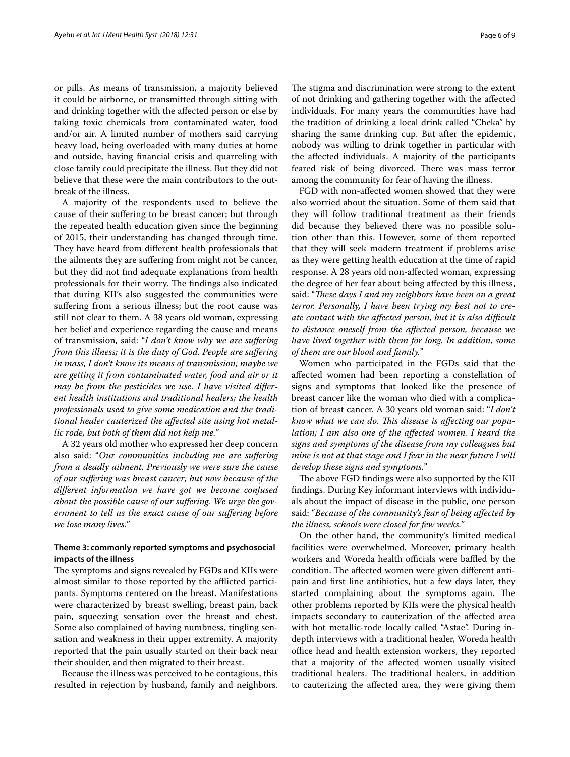or pills. As means of transmission, a majority believed it could be airborne, or transmitted through sitting with and drinking together with the afected person or else by taking toxic chemicals from contaminated water, food and/or air. A limited number of mothers said carrying heavy load, being overloaded with many duties at home and outside, having fnancial crisis and quarreling with close family could precipitate the illness. But they did not believe that these were the main contributors to the outbreak of the illness.

A majority of the respondents used to believe the cause of their sufering to be breast cancer; but through the repeated health education given since the beginning of 2015, their understanding has changed through time. They have heard from different health professionals that the ailments they are sufering from might not be cancer, but they did not fnd adequate explanations from health professionals for their worry. The findings also indicated that during KII's also suggested the communities were suffering from a serious illness; but the root cause was still not clear to them. A 38 years old woman, expressing her belief and experience regarding the cause and means of transmission, said: "*I don't know why we are sufering from this illness; it is the duty of God. People are sufering in mass, I don't know its means of transmission; maybe we are getting it from contaminated water, food and air or it may be from the pesticides we use. I have visited diferent health institutions and traditional healers; the health professionals used to give some medication and the traditional healer cauterized the afected site using hot metallic rode, but both of them did not help me.*"

A 32 years old mother who expressed her deep concern also said: "*Our communities including me are sufering from a deadly ailment. Previously we were sure the cause of our sufering was breast cancer; but now because of the diferent information we have got we become confused about the possible cause of our sufering. We urge the government to tell us the exact cause of our sufering before we lose many lives.*"

## **Theme 3: commonly reported symptoms and psychosocial impacts of the illness**

The symptoms and signs revealed by FGDs and KIIs were almost similar to those reported by the afflicted participants. Symptoms centered on the breast. Manifestations were characterized by breast swelling, breast pain, back pain, squeezing sensation over the breast and chest. Some also complained of having numbness, tingling sensation and weakness in their upper extremity. A majority reported that the pain usually started on their back near their shoulder, and then migrated to their breast.

Because the illness was perceived to be contagious, this resulted in rejection by husband, family and neighbors.

The stigma and discrimination were strong to the extent of not drinking and gathering together with the afected individuals. For many years the communities have had the tradition of drinking a local drink called "Cheka" by sharing the same drinking cup. But after the epidemic, nobody was willing to drink together in particular with the afected individuals. A majority of the participants feared risk of being divorced. There was mass terror among the community for fear of having the illness.

FGD with non-afected women showed that they were also worried about the situation. Some of them said that they will follow traditional treatment as their friends did because they believed there was no possible solution other than this. However, some of them reported that they will seek modern treatment if problems arise as they were getting health education at the time of rapid response. A 28 years old non-afected woman, expressing the degree of her fear about being afected by this illness, said: "*These days I and my neighbors have been on a great terror. Personally, I have been trying my best not to create contact with the afected person, but it is also difcult to distance oneself from the afected person, because we have lived together with them for long. In addition, some of them are our blood and family.*"

Women who participated in the FGDs said that the afected women had been reporting a constellation of signs and symptoms that looked like the presence of breast cancer like the woman who died with a complication of breast cancer. A 30 years old woman said: "*I don't know what we can do. Tis disease is afecting our population; I am also one of the afected women. I heard the signs and symptoms of the disease from my colleagues but mine is not at that stage and I fear in the near future I will develop these signs and symptoms.*"

The above FGD findings were also supported by the KII fndings. During Key informant interviews with individuals about the impact of disease in the public, one person said: "*Because of the community's fear of being afected by the illness, schools were closed for few weeks.*"

On the other hand, the community's limited medical facilities were overwhelmed. Moreover, primary health workers and Woreda health officials were baffled by the condition. The affected women were given different antipain and frst line antibiotics, but a few days later, they started complaining about the symptoms again. The other problems reported by KIIs were the physical health impacts secondary to cauterization of the afected area with hot metallic-rode locally called "Astae". During indepth interviews with a traditional healer, Woreda health office head and health extension workers, they reported that a majority of the afected women usually visited traditional healers. The traditional healers, in addition to cauterizing the afected area, they were giving them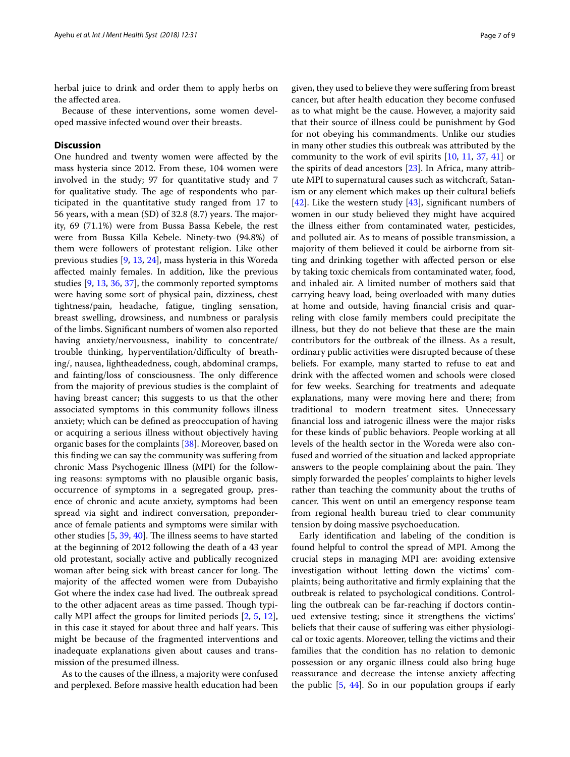herbal juice to drink and order them to apply herbs on the afected area.

Because of these interventions, some women developed massive infected wound over their breasts.

## **Discussion**

One hundred and twenty women were afected by the mass hysteria since 2012. From these, 104 women were involved in the study; 97 for quantitative study and 7 for qualitative study. The age of respondents who participated in the quantitative study ranged from 17 to 56 years, with a mean  $(SD)$  of 32.8  $(8.7)$  years. The majority, 69 (71.1%) were from Bussa Bassa Kebele, the rest were from Bussa Killa Kebele. Ninety-two (94.8%) of them were followers of protestant religion. Like other previous studies [[9,](#page-7-7) [13,](#page-7-12) [24](#page-8-11)], mass hysteria in this Woreda afected mainly females. In addition, like the previous studies [\[9,](#page-7-7) [13,](#page-7-12) [36](#page-8-12), [37](#page-8-13)], the commonly reported symptoms were having some sort of physical pain, dizziness, chest tightness/pain, headache, fatigue, tingling sensation, breast swelling, drowsiness, and numbness or paralysis of the limbs. Signifcant numbers of women also reported having anxiety/nervousness, inability to concentrate/ trouble thinking, hyperventilation/difficulty of breathing/, nausea, lightheadedness, cough, abdominal cramps, and fainting/loss of consciousness. The only difference from the majority of previous studies is the complaint of having breast cancer; this suggests to us that the other associated symptoms in this community follows illness anxiety; which can be defned as preoccupation of having or acquiring a serious illness without objectively having organic bases for the complaints [[38\]](#page-8-14). Moreover, based on this fnding we can say the community was sufering from chronic Mass Psychogenic Illness (MPI) for the following reasons: symptoms with no plausible organic basis, occurrence of symptoms in a segregated group, presence of chronic and acute anxiety, symptoms had been spread via sight and indirect conversation, preponderance of female patients and symptoms were similar with other studies  $[5, 39, 40]$  $[5, 39, 40]$  $[5, 39, 40]$  $[5, 39, 40]$  $[5, 39, 40]$ . The illness seems to have started at the beginning of 2012 following the death of a 43 year old protestant, socially active and publically recognized woman after being sick with breast cancer for long. The majority of the afected women were from Dubayisho Got where the index case had lived. The outbreak spread to the other adjacent areas as time passed. Though typically MPI afect the groups for limited periods [\[2](#page-7-1), [5](#page-7-6), [12](#page-7-10)], in this case it stayed for about three and half years. This might be because of the fragmented interventions and inadequate explanations given about causes and transmission of the presumed illness.

As to the causes of the illness, a majority were confused and perplexed. Before massive health education had been given, they used to believe they were sufering from breast cancer, but after health education they become confused as to what might be the cause. However, a majority said that their source of illness could be punishment by God for not obeying his commandments. Unlike our studies in many other studies this outbreak was attributed by the community to the work of evil spirits [[10](#page-7-8), [11,](#page-7-9) [37,](#page-8-13) [41](#page-8-17)] or the spirits of dead ancestors [[23\]](#page-8-3). In Africa, many attribute MPI to supernatural causes such as witchcraft, Satanism or any element which makes up their cultural beliefs [[42\]](#page-8-18). Like the western study [\[43\]](#page-8-19), significant numbers of women in our study believed they might have acquired the illness either from contaminated water, pesticides, and polluted air. As to means of possible transmission, a majority of them believed it could be airborne from sitting and drinking together with afected person or else by taking toxic chemicals from contaminated water, food, and inhaled air. A limited number of mothers said that carrying heavy load, being overloaded with many duties at home and outside, having fnancial crisis and quarreling with close family members could precipitate the illness, but they do not believe that these are the main contributors for the outbreak of the illness. As a result, ordinary public activities were disrupted because of these beliefs. For example, many started to refuse to eat and drink with the afected women and schools were closed for few weeks. Searching for treatments and adequate explanations, many were moving here and there; from traditional to modern treatment sites. Unnecessary fnancial loss and iatrogenic illness were the major risks for these kinds of public behaviors. People working at all levels of the health sector in the Woreda were also confused and worried of the situation and lacked appropriate answers to the people complaining about the pain. They simply forwarded the peoples' complaints to higher levels rather than teaching the community about the truths of cancer. This went on until an emergency response team from regional health bureau tried to clear community tension by doing massive psychoeducation.

Early identifcation and labeling of the condition is found helpful to control the spread of MPI. Among the crucial steps in managing MPI are: avoiding extensive investigation without letting down the victims' complaints; being authoritative and frmly explaining that the outbreak is related to psychological conditions. Controlling the outbreak can be far-reaching if doctors continued extensive testing; since it strengthens the victims' beliefs that their cause of sufering was either physiological or toxic agents. Moreover, telling the victims and their families that the condition has no relation to demonic possession or any organic illness could also bring huge reassurance and decrease the intense anxiety afecting the public [\[5](#page-7-6), [44](#page-8-20)]. So in our population groups if early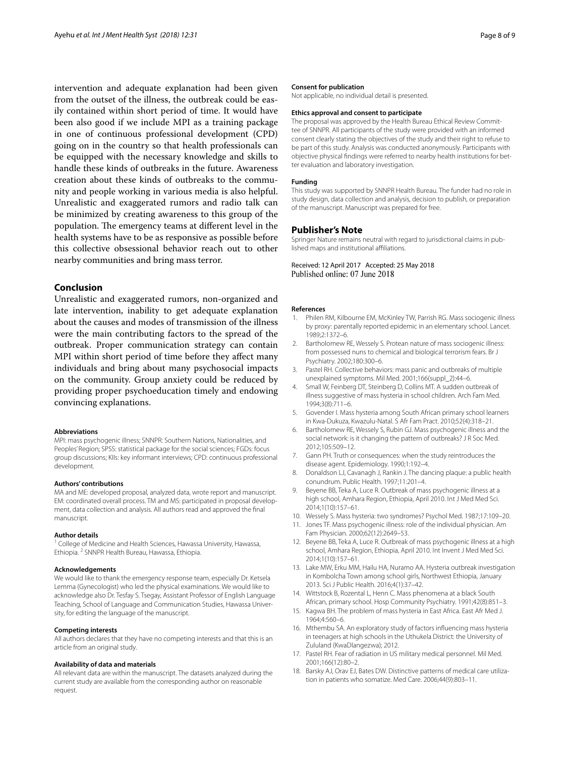intervention and adequate explanation had been given from the outset of the illness, the outbreak could be easily contained within short period of time. It would have been also good if we include MPI as a training package in one of continuous professional development (CPD) going on in the country so that health professionals can be equipped with the necessary knowledge and skills to handle these kinds of outbreaks in the future. Awareness creation about these kinds of outbreaks to the community and people working in various media is also helpful. Unrealistic and exaggerated rumors and radio talk can be minimized by creating awareness to this group of the population. The emergency teams at different level in the health systems have to be as responsive as possible before this collective obsessional behavior reach out to other nearby communities and bring mass terror.

## **Conclusion**

Unrealistic and exaggerated rumors, non-organized and late intervention, inability to get adequate explanation about the causes and modes of transmission of the illness were the main contributing factors to the spread of the outbreak. Proper communication strategy can contain MPI within short period of time before they afect many individuals and bring about many psychosocial impacts on the community. Group anxiety could be reduced by providing proper psychoeducation timely and endowing convincing explanations.

#### **Abbreviations**

MPI: mass psychogenic illness; SNNPR: Southern Nations, Nationalities, and Peoples' Region; SPSS: statistical package for the social sciences; FGDs: focus group discussions; KIIs: key informant interviews; CPD: continuous professional development.

#### **Authors' contributions**

MA and ME: developed proposal, analyzed data, wrote report and manuscript. EM: coordinated overall process. TM and MS: participated in proposal development, data collection and analysis. All authors read and approved the fnal manuscript.

#### **Author details**

<sup>1</sup> College of Medicine and Health Sciences, Hawassa University, Hawassa, Ethiopia. <sup>2</sup> SNNPR Health Bureau, Hawassa, Ethiopia.

#### **Acknowledgements**

We would like to thank the emergency response team, especially Dr. Ketsela Lemma (Gynecologist) who led the physical examinations. We would like to acknowledge also Dr. Tesfay S. Tsegay, Assistant Professor of English Language Teaching, School of Language and Communication Studies, Hawassa University, for editing the language of the manuscript.

#### **Competing interests**

All authors declares that they have no competing interests and that this is an article from an original study.

#### **Availability of data and materials**

All relevant data are within the manuscript. The datasets analyzed during the current study are available from the corresponding author on reasonable request.

#### **Consent for publication**

Not applicable, no individual detail is presented.

#### **Ethics approval and consent to participate**

The proposal was approved by the Health Bureau Ethical Review Committee of SNNPR. All participants of the study were provided with an informed consent clearly stating the objectives of the study and their right to refuse to be part of this study. Analysis was conducted anonymously. Participants with objective physical fndings were referred to nearby health institutions for better evaluation and laboratory investigation.

#### **Funding**

This study was supported by SNNPR Health Bureau. The funder had no role in study design, data collection and analysis, decision to publish, or preparation of the manuscript. Manuscript was prepared for free.

#### **Publisher's Note**

Springer Nature remains neutral with regard to jurisdictional claims in published maps and institutional afliations.

Received: 12 April 2017 Accepted: 25 May 2018 Published online: 07 June 2018

#### **References**

- <span id="page-7-0"></span>1. Philen RM, Kilbourne EM, McKinley TW, Parrish RG. Mass sociogenic illness by proxy: parentally reported epidemic in an elementary school. Lancet. 1989;2:1372–6.
- <span id="page-7-1"></span>2. Bartholomew RE, Wessely S. Protean nature of mass sociogenic illness: from possessed nuns to chemical and biological terrorism fears. Br J Psychiatry. 2002;180:300–6.
- <span id="page-7-2"></span>3. Pastel RH. Collective behaviors: mass panic and outbreaks of multiple unexplained symptoms. Mil Med. 2001;166(suppl\_2):44–6.
- 4. Small W, Feinberg DT, Steinberg D, Collins MT. A sudden outbreak of illness suggestive of mass hysteria in school children. Arch Fam Med. 1994;3(8):711–6.
- <span id="page-7-6"></span>5. Govender I. Mass hysteria among South African primary school learners in Kwa-Dukuza, Kwazulu-Natal. S Afr Fam Pract. 2010;52(4):318–21.
- <span id="page-7-3"></span>6. Bartholomew RE, Wessely S, Rubin GJ. Mass psychogenic illness and the social network: is it changing the pattern of outbreaks? J R Soc Med. 2012;105:509–12.
- <span id="page-7-4"></span>7. Gann PH. Truth or consequences: when the study reintroduces the disease agent. Epidemiology. 1990;1:192–4.
- <span id="page-7-5"></span>8. Donaldson LJ, Cavanagh J, Rankin J. The dancing plaque: a public health conundrum. Public Health. 1997;11:201–4.
- <span id="page-7-7"></span>9. Beyene BB, Teka A, Luce R. Outbreak of mass psychogenic illness at a high school, Amhara Region, Ethiopia, April 2010. Int J Med Med Sci. 2014;1(10):157–61.
- <span id="page-7-8"></span>10. Wessely S. Mass hysteria: two syndromes? Psychol Med. 1987;17:109–20.
- <span id="page-7-9"></span>11. Jones TF. Mass psychogenic illness: role of the individual physician. Am Fam Physician. 2000;62(12):2649–53.
- <span id="page-7-10"></span>12. Beyene BB, Teka A, Luce R. Outbreak of mass psychogenic illness at a high school, Amhara Region, Ethiopia, April 2010. Int Invent J Med Med Sci. 2014;1(10):157–61.
- <span id="page-7-12"></span>13. Lake MW, Erku MM, Hailu HA, Nuramo AA. Hysteria outbreak investigation in Kombolcha Town among school girls, Northwest Ethiopia, January 2013. Sci J Public Health. 2016;4(1):37–42.
- <span id="page-7-15"></span>14. Wittstock B, Rozental L, Henn C. Mass phenomena at a black South African, primary school. Hosp Community Psychiatry. 1991;42(8):851–3.
- <span id="page-7-11"></span>15. Kagwa BH. The problem of mass hysteria in East Africa. East Afr Med J. 1964;4:560–6.
- <span id="page-7-13"></span>16. Mthembu SA. An exploratory study of factors infuencing mass hysteria in teenagers at high schools in the Uthukela District: the University of Zululand (KwaDlangezwa); 2012.
- <span id="page-7-14"></span>17. Pastel RH. Fear of radiation in US military medical personnel. Mil Med. 2001;166(12):80–2.
- 18. Barsky AJ, Orav EJ, Bates DW. Distinctive patterns of medical care utilization in patients who somatize. Med Care. 2006;44(9):803–11.